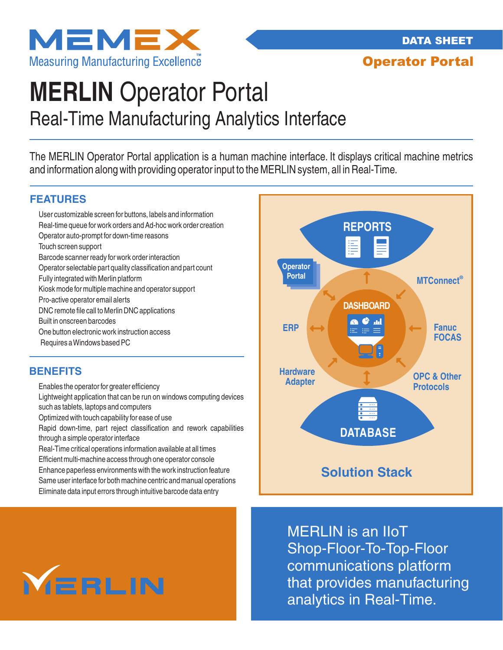

Operator Portal

# Real-Time Manufacturing Analytics Interface **MERLIN** Operator Portal

The MERLIN Operator Portal application is a human machine interface. It displays critical machine metrics and information along with providing operator input to the MERLIN system, all in Real-Time.

## **FEATURES**

User customizable screen for buttons, labels and information Real-time queue for work orders and Ad-hoc work order creation Operator auto-prompt for down-time reasons Touch screen support Barcode scanner ready for work order interaction Operator selectable part quality classification and part count Fully integrated with Merlin platform Kiosk mode for multiple machine and operator support Pro-active operator email alerts DNC remote file call to Merlin DNC applications Built in onscreen barcodes One button electronic work instruction access Requires a Windows based PC

## **BENEFITS**

Enables the operator for greater efficiency

Lightweight application that can be run on windows computing devices such as tablets, laptops and computers

Optimized with touch capability for ease of use

Rapid down-time, part reject classification and rework capabilities through a simple operator interface

Real-Time critical operations information available at all times Efficient multi-machine access through one operator console Enhance paperless environments with the work instruction feature Same user interface for both machine centric and manual operations Eliminate data input errors through intuitive barcode data entry



**MERLIN** 

MERLIN is an IIoT Shop-Floor-To-Top-Floor communications platform that provides manufacturing analytics in Real-Time.